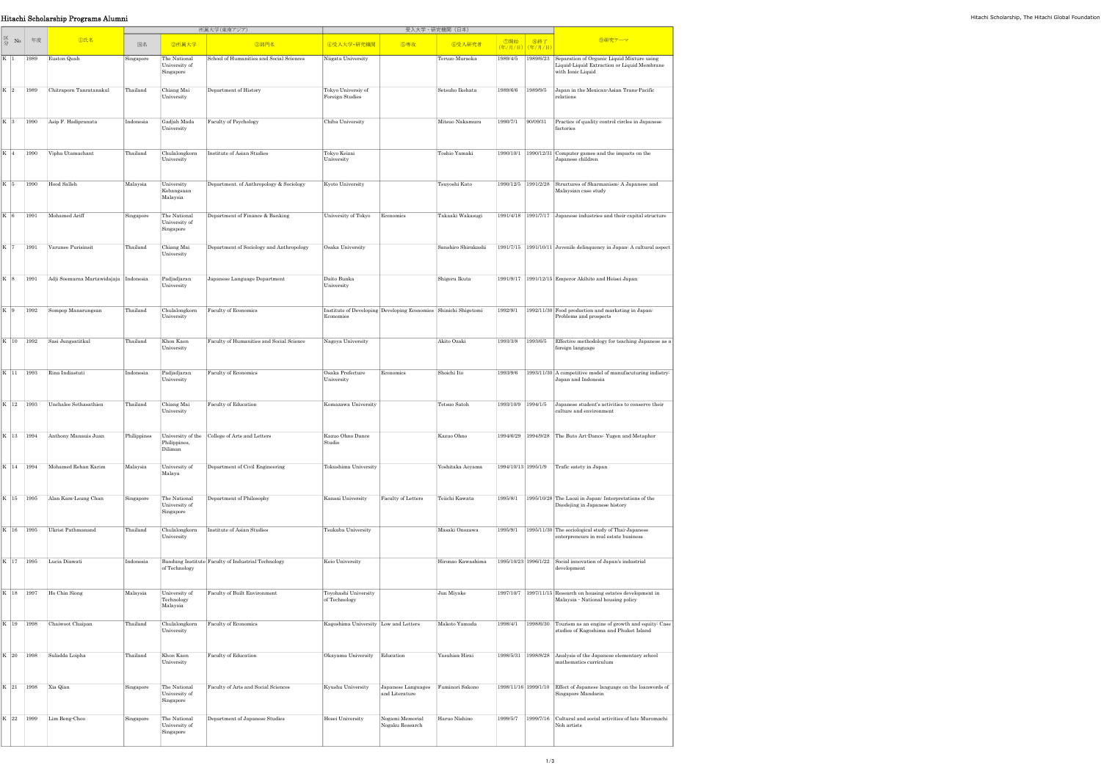|                   |      |                                      |           |                                            | 所属大学(東南アジア)                                               |                                       | 受入大学·研究機関 (日本)                                                  |                     |                        |           |                                                                                                                |
|-------------------|------|--------------------------------------|-----------|--------------------------------------------|-----------------------------------------------------------|---------------------------------------|-----------------------------------------------------------------|---------------------|------------------------|-----------|----------------------------------------------------------------------------------------------------------------|
| 区分<br>No          | 年度   | <b></b> ①氏名                          | 国名        | 2所属大学                                      | 3部門名                                                      | 4受入大学·研究機関                            | 5専攻                                                             | 6受入研究者              | ⑦開始<br>(年/月/日) (年/月/日) | 8終了       | 9研究テーマ                                                                                                         |
| K 1               | 1989 | Euston Quah                          | Singapore | The National<br>University of<br>Singapore | School of Humanities and Social Sciences                  | Niigata University                    |                                                                 | Teruzo Muraoka      | 1989/4/5               | 1989/6/23 | Separation of Organic Liquid Mixture using<br>Liquid-Liquid Extraction or Liquid Membrane<br>with Ionic Liquid |
| K <sub>2</sub>    | 1989 | Chitraporn Tanratanakul              | Thailand  | Chiang Mai<br>University                   | Department of History                                     | Tokyo Universiy of<br>Foreign Studies |                                                                 | Setsuho Ikehata     | 1989/6/6               | 1989/9/5  | Japan in the Mexican-Asian Trans-Pacific<br>relations                                                          |
| K 3               | 1990 | Asip F. Hadipranata                  | Indonesia | Gadjah Mada<br>University                  | Faculty of Psychology                                     | Chiba University                      |                                                                 | Mitsuo Nakamura     | 1990/7/1               | 90/09/31  | Practice of quality control circles in Japanese<br>factories                                                   |
| $\vert K \vert 4$ | 1990 | Vipha Utamachant                     | Thailand  | Chulalongkorn<br>University                | Institute of Asian Studies                                | Tokyo Keizai<br>University            |                                                                 | Toshio Yamaki       |                        |           | 1990/10/1 1990/12/31 Computer games and the impacts on the<br>Japanese children                                |
| K 5               | 1990 | Hood Salleh                          | Malaysia  | University<br>Kebangsaan<br>Malaysia       | Department. of Anthropology & Sociology                   | Kyoto University                      |                                                                 | Tsuyoshi Kato       | 1990/12/5   1991/2/28  |           | Structures of Sharmanism: A Japanese and<br>Malaysian case study                                               |
| $\vert K \vert$ 6 | 1991 | Mohamed Ariff                        | Singapore | The National<br>University of<br>Singapore | Department of Finance & Banking                           | University of Tokyo                   | Economics                                                       | Takaaki Wakasugi    |                        |           | 1991/4/18 1991/7/17 Japanese industries and their capital structure                                            |
| K   7             | 1991 | Varunee Purisinsit                   | Thailand  | Chiang Mai<br>University                   | Department of Sociology and Anthropology                  | Osaka University                      |                                                                 | Sanshiro Shirakashi |                        |           | 1991/7/15 1991/10/11 Juvenile delinquency in Japan: A cultural aspect                                          |
| K 8               | 1991 | Adji Soemarna Martawidajaja          | Indonesia | Padjadjaran<br>University                  | Japanese Language Department                              | Daito Bunka<br>University             |                                                                 | Shigeru Ikuta       |                        |           | 1991/9/17 1991/12/15 Emperor Akihito and Heisei Japan                                                          |
| K 9               | 1992 | Sompop Manarungsan                   | Thailand  | Chulalongkorn<br>University                | Faculty of Economics                                      | Economies                             | Institute of Developing Developing Economies Shinichi Shigetomi |                     | 1992/9/1               |           | 1992/11/30 Food production and marketing in Japan:<br>Problems and prospects                                   |
| K 10              | 1992 | Sasi Jungsatitkul                    | Thailand  | Khon Kaen<br>University                    | Faculty of Humanities and Social Science                  | Nagoya University                     |                                                                 | Akito Ozaki         | 1993/3/8               | 1993/6/5  | Effective methodology for teaching Japanese as a<br>foreign language                                           |
| $K$ 11            | 1993 | Rina Indiastuti                      | Indonesia | Padjadjaran<br>University                  | Faculty of Economics                                      | Osaka Prefecture<br>University        | Economics                                                       | Shoichi Ito         | 1993/9/6               |           | 1993/11/30 A competitive model of manufacuturing indistry:<br>Japan and Indonesia                              |
| K 12              | 1993 | Unchalee Sethasathien                | Thailand  | Chiang Mai<br>University                   | Faculty of Education                                      | Komazawa University                   |                                                                 | Tetsuo Satoh        | 1993/10/9 1994/1/5     |           | Japanese student's activities to conserve their<br>culture and environment                                     |
|                   |      | K   13   1994   Anthony Manauis Juan |           | Philippines,<br>Diliman                    | Philippines University of the College of Arts and Letters | Kazuo Ohno Dance<br>Studio            |                                                                 | Kazuo Ohno          |                        |           | 1994/6/29 1994/9/28 The Buto Art-Dance: Yugen and Metaphor                                                     |
| K 14              | 1994 | Mohamed Rehan Karim                  | Malaysia  | University of<br>Malaya                    | Department of Civil Engineering                           | Tokushima University                  |                                                                 | Yoshitaka Aoyama    | 1994/10/13 1995/1/9    |           | Trafic satety in Japan                                                                                         |
| K 15              | 1995 | Alan Kam-Leung Chan                  | Singapore | The National<br>University of<br>Singapore | Department of Philosophy                                  | Kansai University                     | Faculty of Letters                                              | Teiichi Kawata      | 1995/8/1               |           | 1995/10/28 The Laozi in Japan: Interpretations of the<br>Daodejing in Japanese history                         |
| K 16              | 1995 | Ukrist Pathmanand                    | Thailand  | Chulalongkorn<br>University                | Institute of Asian Studies                                | Tsukuba University                    |                                                                 | Masaki Onozawa      | 1995/9/1               |           | 1995/11/30 The sociological study of Thai-Japanese<br>enterpreneurs in real estate business                    |
| K 17              | 1995 | Lucia Diawati                        | Indonesia | of Technology                              | Bandung Institute Faculty of Industrial Technology        | Keio University                       |                                                                 | Hironao Kawashima   | 1995/10/23 1996/1/22   |           | Social innovation of Japan's industrial<br>development                                                         |
| K 18              | 1997 | Ho Chin Siong                        | Malaysia  | University of<br>Technology<br>Malaysia    | Faculty of Built Environment                              | Toyohashi University<br>of Technology |                                                                 | Jun Miyake          | 1997/10/7              |           | 1997/11/15 Research on housing estates development in<br>Malaysia - National housing policy                    |
| K 19              | 1998 | Chaiwoot Chaipan                     | Thailand  | Chulalongkorn<br>University                | Faculty of Economics                                      | Kagoshima University Low and Letters  |                                                                 | Makoto Yamada       | 1998/4/1               | 1998/6/30 | Tourism as an engine of growth and equity: Case<br>studies of Kagoshima and Phuket Island                      |
| K 20              | 1998 | Suladda Loipha                       | Thailand  | Khon Kaen<br>University                    | Faculty of Education                                      | Okayama University                    | Education                                                       | Yasuhisa Hirai      | 1998/5/31              | 1998/8/28 | Analysis of the Japanese elementary school<br>mathematics curriculum                                           |
| K 21              | 1998 | Xia Qian                             | Singapore | The National<br>University of<br>Singapore | Faculty of Arts and Social Sciences                       | Kyushu University                     | Japanese Languages<br>and Literature                            | Fuminori Sakono     | 1998/11/16 1999/1/10   |           | Effect of Japanese language on the loanwords of<br>Singapore Mandarin                                          |
| K 22              | 1999 | Lim Beng-Choo                        | Singapore | The National<br>University of<br>Singapore | Department of Japanese Studies                            | Hosei University                      | Nogami Memorial<br>Nogaku Research                              | Haruo Nishino       | 1999/5/7               | 1999/7/16 | Cultural and social activities of late Muromachi<br>Noh artists                                                |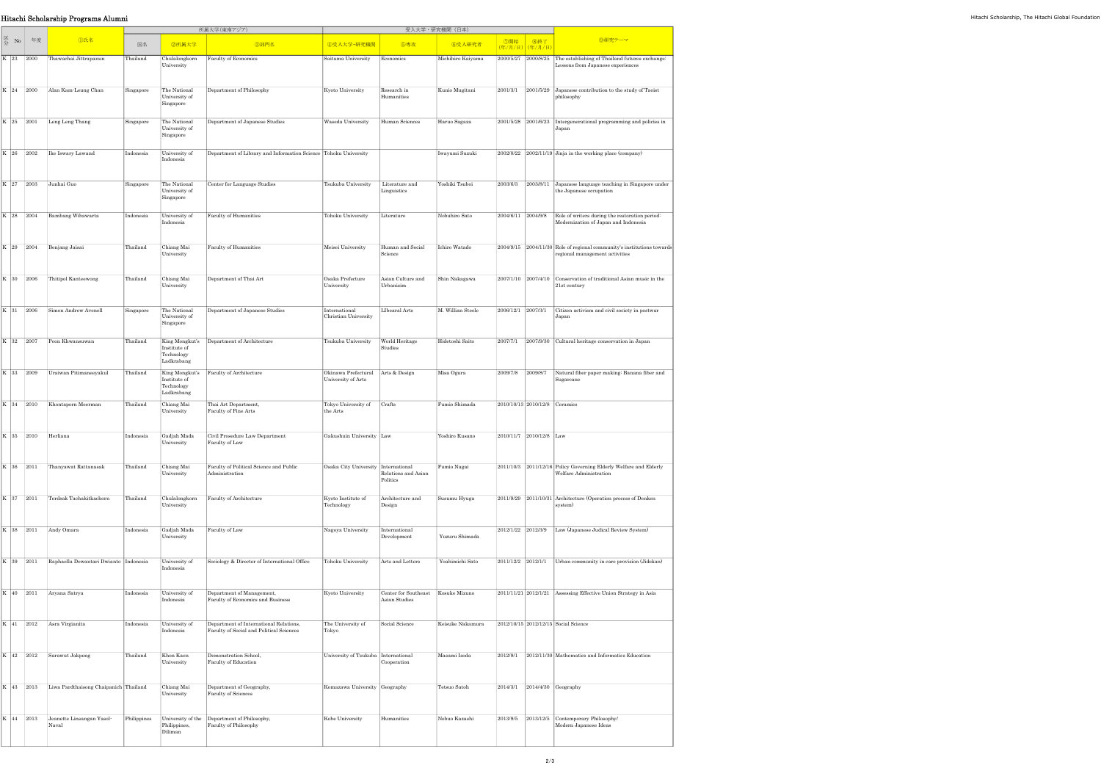|  |                                                                        | Hitachi Scholarship Programs Alumni             |             |                                            |                                                                                    |                                                         |                                                     |                   |  |                                                 |                                                                                                                               |
|--|------------------------------------------------------------------------|-------------------------------------------------|-------------|--------------------------------------------|------------------------------------------------------------------------------------|---------------------------------------------------------|-----------------------------------------------------|-------------------|--|-------------------------------------------------|-------------------------------------------------------------------------------------------------------------------------------|
|  |                                                                        |                                                 |             |                                            | 所属大学(東南アジア)                                                                        | 受入大学・研究機関(日本)                                           |                                                     |                   |  |                                                 |                                                                                                                               |
|  | $\begin{array}{c c}\n\hline\n\mathbb{K} & \mathbb{N}\n\end{array}$ # # | ①氏名                                             | 国名          | ②所属大学                                      | 3部門名                                                                               | 4受入大学·研究機関                                              | 6専攻                                                 | 6受入研究者            |  | │ ⑦開始 │ ⑧終了 │<br><mark>(年/月/日)</mark> (年/月/日) │ | 9研究テーマ                                                                                                                        |
|  |                                                                        | K 23 2000 Thawachai Jittrapanun                 | Thailand    | University                                 | Chulalongkorn Faculty of Economics                                                 | Saitama University Economics                            |                                                     | Michihiro Kaiyama |  |                                                 | 2000/5/27 2000/8/25 The establishing of Thailand futures exchange:<br>Lessons from Japanese experiences                       |
|  |                                                                        | K 24 2000 Alan Kam-Leung Chan                   | Singapore   | The National<br>University of<br>Singapore | Department of Philosophy                                                           | Kyoto University                                        | Research in<br>Humanities                           | Kunio Mugitani    |  |                                                 | $2001/3/1$ 2001/5/29 Japanese contribution to the study of Taoist<br>philosophy                                               |
|  |                                                                        | K 25 2001 Leng Leng Thang                       | Singapore   | The National<br>University of<br>Singapore | Department of Japanese Studies                                                     | Waseda University                                       | Human Sciences                                      | Haruo Sagaza      |  |                                                 | 2001/5/28 2001/6/23 Intergenerational programming and policies in<br>Japan                                                    |
|  |                                                                        | K 26 2002 Re Iswary Lawand                      | Indonesia   | University of<br>Indonesia                 | Department of Library and Information Science Tohoku University                    |                                                         |                                                     | Iwayumi Suzuki    |  |                                                 | $2002/8/22$ 2002/11/19 Jinja in the working place (company)                                                                   |
|  |                                                                        | K 27 2003 Junhai Guo                            | Singapore   | The National<br>University of<br>Singapore | Center for Language Studies                                                        | Tsukuba University                                      | Literature and<br>Linguistics                       | Yoshiki Tsuboi    |  |                                                 | 2003/6/3 2003/8/11 Japanese language teaching in Singapore under<br>the Japanese occupation                                   |
|  |                                                                        | K 28 2004 Bambang Wibawarta                     | Indonesia   | University of<br>Indonesia                 | Faculty of Humanities                                                              | Tohoku University                                       | Literature                                          | Nobuhiro Sato     |  |                                                 | $\vert 2004/6/11 \vert 2004/9/8 \vert$ Role of writers during the restoration period:<br>Modernization of Japan and Indonesia |
|  |                                                                        | K 29 2004 Benjang Jaisai                        | Thailand    | Chiang Mai<br>University                   | Faculty of Humanities                                                              | Meisei University                                       | Human and Social<br>Science                         | Ichiro Watado     |  |                                                 | $2004/9/15$ 2004/11/30 Role of regional community's institutions towards<br>regional management activities                    |
|  |                                                                        | K 30 2006 Thitipol Kanteewong                   | Thailand    | Chiang Mai<br>University                   | Department of Thai Art                                                             | Osaka Prefecture<br>University                          | Asian Culture and<br>Urbanisim                      | Shin Nakagawa     |  |                                                 | 2007/1/10 2007/4/10 Conservation of traditional Asian music in the<br>21st century                                            |
|  |                                                                        | K 31 2006 Simon Andrew Avenell                  | Singapore   | The National<br>University of<br>Singapore | Department of Japanese Studies                                                     | International<br>Christian University                   | LIbearal Arts                                       | M. Willian Steele |  | 2006/12/1 2007/3/1                              | Citizen activism and civil society in postwar<br>Japan                                                                        |
|  |                                                                        | K 32 2007 Poon Khwansuwan                       | Thailand    | Institute of<br>Technology<br>Ladkrabang   | King Mongkut's Department of Architecture                                          | Tsukuba University                                      | World Heritage<br>Studies                           | Hidetoshi Saito   |  |                                                 | 2007/7/1 2007/9/30 Cultural heritage conservation in Japan                                                                    |
|  |                                                                        | K 33 2009 Uraiwan Pitimaneeyakul                | Thailand    | Institute of<br>Technology<br>Ladkrabang   | King Mongkut's Faculty of Architecture                                             | Okinawa Prefectural Arts & Design<br>University of Arts |                                                     | Misa Ogura        |  | 2009/7/8 2009/8/7                               | Natural fiber paper making: Banana fiber and<br>Sugarcane                                                                     |
|  |                                                                        | K 34 2010 Khontaporn Meerman                    | Thailand    | Chiang Mai<br>University                   | Thai Art Department,<br>Faculty of Fine Arts                                       | Tokyo University of Crafts<br>the Arts                  |                                                     | Fumio Shimada     |  | 2010/10/13 2010/12/8 Ceramics                   |                                                                                                                               |
|  | K 35 2010 Herliana                                                     |                                                 | Indonesia   | Gadjah Mada<br>University                  | Civil Prosedure Law Department<br>Faculty of Law                                   | Gakushuin University Law                                |                                                     | Yoshiro Kusano    |  | 2010/11/7 2010/12/8 Law                         |                                                                                                                               |
|  |                                                                        | K 36 2011 Thanyawat Rattanasak                  | Thailand    | Chiang Mai<br>University                   | Faculty of Political Science and Public<br>Administration                          | Osaka City University International                     | Relations and Asian<br>Politics                     | Fumio Nagai       |  |                                                 | 2011/10/3 2011/12/16 Policy Governing Elderly Welfare and Elderly<br>Welfare Administration                                   |
|  |                                                                        | K 37 2011 Terdsak Tachakitkachorn               | Thailand    | Chulalongkorn<br>University                | Faculty of Architecture                                                            | Kyoto Institute of<br>Technology                        | Architecture and<br>Design                          | Susumu Hyuga      |  |                                                 | 2011/9/29 2011/10/31 Architecture (Operation process of Denken<br>system)                                                     |
|  |                                                                        | $K$ 38 2011 Andy Omara                          | Indonesia   | Gadjah Mada<br>University                  | Faculty of Law                                                                     | Nagoya University                                       | International<br>Development                        | Yuzuru Shimada    |  |                                                 | 2012/1/22 2012/3/9 Law (Japanese Judical Review System)                                                                       |
|  |                                                                        | K 39 2011 Raphaella Dewantari Dwianto Indonesia |             | University of<br>Indonesia                 | Sociology & Director of International Office                                       | Tohoku University                                       | Arts and Letters                                    | Yoahimichi Sato   |  |                                                 | 2011/12/2 2012/1/1 Urban community in care provision (Jidokan)                                                                |
|  |                                                                        | $\overline{K}$ 40 2011   Aryana Satrya          | Indonesia   | University of<br>Indonesia                 | Department of Management,<br>Faculty of Economics and Business                     | Kyoto University                                        | Center for Southeast Kosuke Mizuno<br>Asian Studies |                   |  |                                                 | 2011/11/21 2012/1/21 Assessing Effective Union Strategy in Asia                                                               |
|  |                                                                        | K 41 2012 Asra Virgianita                       | Indonesia   | University of<br>Indonesia                 | Department of International Relations,<br>Faculty of Social and Political Sciences | The University of<br>Tokyo                              | Social Science                                      | Keisuke Nakamura  |  |                                                 | 2012/10/15 2012/12/15 Social Science                                                                                          |
|  |                                                                        | K 42 2012 Sarawut Jakpeng                       | Thailand    | Khon Kaen<br>University                    | Demonstration School,<br>Faculty of Education                                      | University of Tsukuba   International                   | Cooperation                                         | Masami Isoda      |  |                                                 | 2012/9/1 2012/11/30 Mathematics and Informatics Education                                                                     |
|  | K 43 2013                                                              | Liwa Pardthaisong Chaipanich Thailand           |             | Chiang Mai<br>University                   | Department of Geography,<br>Faculty of Sciences                                    | Komazawa University Geography                           |                                                     | Tetsuo Satoh      |  |                                                 | 2014/3/1 2014/4/30 Geography                                                                                                  |
|  | K 44 2013                                                              | Jeanette Linsangan Yasol-<br>Naval              | Philippines | Philippines,<br>Diliman                    | University of the Department of Philosophy,<br>Faculty of Philosophy               | Kobe University                                         | Humanities                                          | Nobuo Kazashi     |  |                                                 | 2013/9/5 2013/12/5 Contemporary Philosophy/<br>Modern Japanese Ideas                                                          |